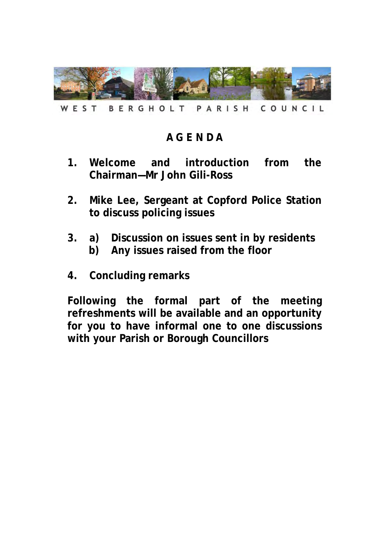

WEST BERGHOLT PARISH COUNCIL

# **A G E N D A**

- **1. Welcome and introduction from the Chairman—Mr John Gili-Ross**
- **2. Mike Lee, Sergeant at Copford Police Station to discuss policing issues**
- **3. a) Discussion on issues sent in by residents b) Any issues raised from the floor**
- **4. Concluding remarks**

**Following the formal part of the meeting refreshments will be available and an opportunity for you to have informal one to one discussions with your Parish or Borough Councillors**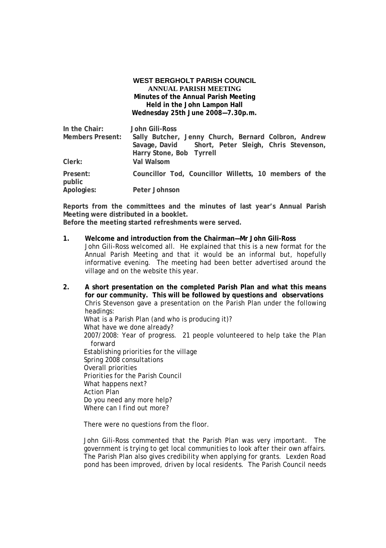### **WEST BERGHOLT PARISH COUNCIL ANNUAL PARISH MEETING Minutes of the Annual Parish Meeting Held in the John Lampon Hall Wednesday 25th June 2008—7.30p.m.**

| In the Chair:      | John Gili-Ross                                         |
|--------------------|--------------------------------------------------------|
| Members Present:   | Sally Butcher, Jenny Church, Bernard Colbron, Andrew   |
|                    | Savage, David Short, Peter Sleigh, Chris Stevenson,    |
|                    | Harry Stone, Bob Tyrrell                               |
| Clerk:             | Val Walsom                                             |
| Present:<br>public | Councillor Tod, Councillor Willetts, 10 members of the |
| Apologies:         | Peter Johnson                                          |

**Reports from the committees and the minutes of last year's Annual Parish Meeting were distributed in a booklet.** 

**Before the meeting started refreshments were served.**

**1. Welcome and introduction from the Chairman—Mr John Gili-Ross**  John Gili-Ross welcomed all. He explained that this is a new format for the Annual Parish Meeting and that it would be an informal but, hopefully informative evening. The meeting had been better advertised around the village and on the website this year.

**2. A short presentation on the completed Parish Plan and what this means for our community. This will be followed by questions and observations**  Chris Stevenson gave a presentation on the Parish Plan under the following headings: What is a Parish Plan (and who is producing it)? What have we done already? 2007/2008: Year of progress. 21 people volunteered to help take the Plan forward Establishing priorities for the village Spring 2008 consultations Overall priorities Priorities for the Parish Council What happens next? Action Plan Do you need any more help? Where can I find out more?

There were no questions from the floor.

 John Gili-Ross commented that the Parish Plan was very important. The government is trying to get local communities to look after their own affairs. The Parish Plan also gives credibility when applying for grants. Lexden Road pond has been improved, driven by local residents. The Parish Council needs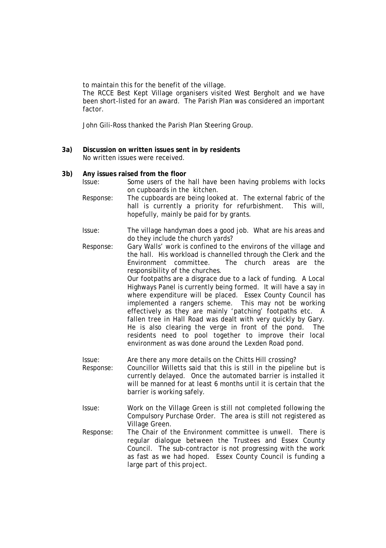to maintain this for the benefit of the village.

 The RCCE Best Kept Village organisers visited West Bergholt and we have been short-listed for an award. The Parish Plan was considered an important factor.

John Gili-Ross thanked the Parish Plan Steering Group.

**3a) Discussion on written issues sent in by residents**  No written issues were received.

#### **3b) Any issues raised from the floor**

- Issue: Some users of the hall have been having problems with locks on cupboards in the kitchen.
- Response: The cupboards are being looked at. The external fabric of the hall is currently a priority for refurbishment. This will, hopefully, mainly be paid for by grants.
- Issue: The village handyman does a good job. What are his areas and do they include the church yards?
- Response: Gary Walls' work is confined to the environs of the village and the hall. His workload is channelled through the Clerk and the Environment committee. The church areas are the responsibility of the churches.

 Our footpaths are a disgrace due to a lack of funding. A Local Highways Panel is currently being formed. It will have a say in where expenditure will be placed. Essex County Council has implemented a rangers scheme. This may not be working effectively as they are mainly 'patching' footpaths etc. A fallen tree in Hall Road was dealt with very quickly by Gary. He is also clearing the verge in front of the pond. The residents need to pool together to improve their local environment as was done around the Lexden Road pond.

Issue: Are there any more details on the Chitts Hill crossing? Response: Councillor Willetts said that this is still in the pipeline but is currently delayed. Once the automated barrier is installed it will be manned for at least 6 months until it is certain that the barrier is working safely.

- Issue: Work on the Village Green is still not completed following the Compulsory Purchase Order. The area is still not registered as Village Green.
- Response: The Chair of the Environment committee is unwell. There is regular dialogue between the Trustees and Essex County Council. The sub-contractor is not progressing with the work as fast as we had hoped. Essex County Council is funding a large part of this project.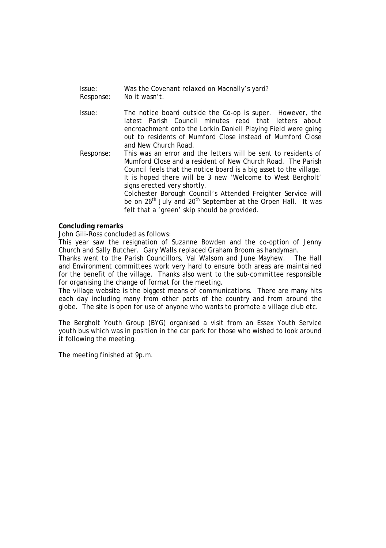| Issue:    | Was the Covenant relaxed on Macnally's yard? |
|-----------|----------------------------------------------|
| Response: | No it wasn't.                                |

- Issue: The notice board outside the Co-op is super. However, the latest Parish Council minutes read that letters about encroachment onto the Lorkin Daniell Playing Field were going out to residents of Mumford Close instead of Mumford Close and New Church Road.
- Response: This was an error and the letters will be sent to residents of Mumford Close and a resident of New Church Road. The Parish Council feels that the notice board is a big asset to the village. It is hoped there will be 3 new 'Welcome to West Bergholt' signs erected very shortly.

 Colchester Borough Council's Attended Freighter Service will be on 26<sup>th</sup> July and 20<sup>th</sup> September at the Orpen Hall. It was felt that a 'green' skip should be provided.

## **Concluding remarks**

John Gili-Ross concluded as follows:

This year saw the resignation of Suzanne Bowden and the co-option of Jenny Church and Sally Butcher. Gary Walls replaced Graham Broom as handyman.

Thanks went to the Parish Councillors, Val Walsom and June Mayhew. The Hall and Environment committees work very hard to ensure both areas are maintained for the benefit of the village. Thanks also went to the sub-committee responsible for organising the change of format for the meeting.

The village website is the biggest means of communications. There are many hits each day including many from other parts of the country and from around the globe. The site is open for use of anyone who wants to promote a village club etc.

The Bergholt Youth Group (BYG) organised a visit from an Essex Youth Service youth bus which was in position in the car park for those who wished to look around it following the meeting.

The meeting finished at 9p.m.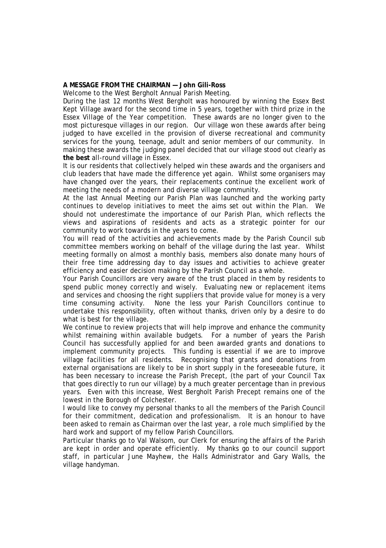## **A MESSAGE FROM THE CHAIRMAN — John Gili-Ross**

Welcome to the West Bergholt Annual Parish Meeting.

During the last 12 months West Bergholt was honoured by winning the Essex Best Kept Village award for the second time in 5 years, together with third prize in the Essex Village of the Year competition. These awards are no longer given to the most picturesque villages in our region. Our village won these awards after being judged to have excelled in the provision of diverse recreational and community services for the young, teenage, adult and senior members of our community. In making these awards the judging panel decided that our village stood out clearly as **the best** all-round village in Essex.

It is our residents that collectively helped win these awards and the organisers and club leaders that have made the difference yet again. Whilst some organisers may have changed over the years, their replacements continue the excellent work of meeting the needs of a modern and diverse village community.

At the last Annual Meeting our Parish Plan was launched and the working party continues to develop initiatives to meet the aims set out within the Plan. We should not underestimate the importance of our Parish Plan, which reflects the views and aspirations of residents and acts as a strategic pointer for our community to work towards in the years to come.

You will read of the activities and achievements made by the Parish Council sub committee members working on behalf of the village during the last year. Whilst meeting formally on almost a monthly basis, members also donate many hours of their free time addressing day to day issues and activities to achieve greater efficiency and easier decision making by the Parish Council as a whole.

Your Parish Councillors are very aware of the trust placed in them by residents to spend public money correctly and wisely. Evaluating new or replacement items and services and choosing the right suppliers that provide value for money is a very time consuming activity. None the less your Parish Councillors continue to undertake this responsibility, often without thanks, driven only by a desire to do what is best for the village.

We continue to review projects that will help improve and enhance the community whilst remaining within available budgets. For a number of years the Parish Council has successfully applied for and been awarded grants and donations to implement community projects. This funding is essential if we are to improve village facilities for all residents. Recognising that grants and donations from external organisations are likely to be in short supply in the foreseeable future, it has been necessary to increase the Parish Precept, (the part of your Council Tax that goes directly to run our village) by a much greater percentage than in previous years. Even with this increase, West Bergholt Parish Precept remains one of the lowest in the Borough of Colchester.

I would like to convey my personal thanks to all the members of the Parish Council for their commitment, dedication and professionalism. It is an honour to have been asked to remain as Chairman over the last year, a role much simplified by the hard work and support of my fellow Parish Councillors.

Particular thanks go to Val Walsom, our Clerk for ensuring the affairs of the Parish are kept in order and operate efficiently. My thanks go to our council support staff, in particular June Mayhew, the Halls Administrator and Gary Walls, the village handyman.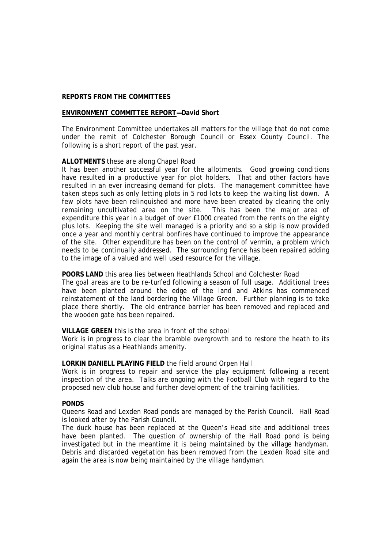# **REPORTS FROM THE COMMITTEES**

#### **ENVIRONMENT COMMITTEE REPORT—David Short**

The Environment Committee undertakes all matters for the village that do not come under the remit of Colchester Borough Council or Essex County Council. The following is a short report of the past year.

## **ALLOTMENTS** these are along Chapel Road

It has been another successful year for the allotments. Good growing conditions have resulted in a productive year for plot holders. That and other factors have resulted in an ever increasing demand for plots. The management committee have taken steps such as only letting plots in 5 rod lots to keep the waiting list down. A few plots have been relinquished and more have been created by clearing the only remaining uncultivated area on the site. This has been the major area of expenditure this year in a budget of over £1000 created from the rents on the eighty plus lots. Keeping the site well managed is a priority and so a skip is now provided once a year and monthly central bonfires have continued to improve the appearance of the site. Other expenditure has been on the control of vermin, a problem which needs to be continually addressed. The surrounding fence has been repaired adding to the image of a valued and well used resource for the village.

#### **POORS LAND** this area lies between Heathlands School and Colchester Road

The goal areas are to be re-turfed following a season of full usage. Additional trees have been planted around the edge of the land and Atkins has commenced reinstatement of the land bordering the Village Green. Further planning is to take place there shortly. The old entrance barrier has been removed and replaced and the wooden gate has been repaired.

## **VILLAGE GREEN** this is the area in front of the school

Work is in progress to clear the bramble overgrowth and to restore the heath to its original status as a Heathlands amenity.

#### **LORKIN DANIELL PLAYING FIELD** the field around Orpen Hall

Work is in progress to repair and service the play equipment following a recent inspection of the area. Talks are ongoing with the Football Club with regard to the proposed new club house and further development of the training facilities.

#### **PONDS**

Queens Road and Lexden Road ponds are managed by the Parish Council. Hall Road is looked after by the Parish Council.

The duck house has been replaced at the Queen's Head site and additional trees have been planted. The question of ownership of the Hall Road pond is being investigated but in the meantime it is being maintained by the village handyman. Debris and discarded vegetation has been removed from the Lexden Road site and again the area is now being maintained by the village handyman.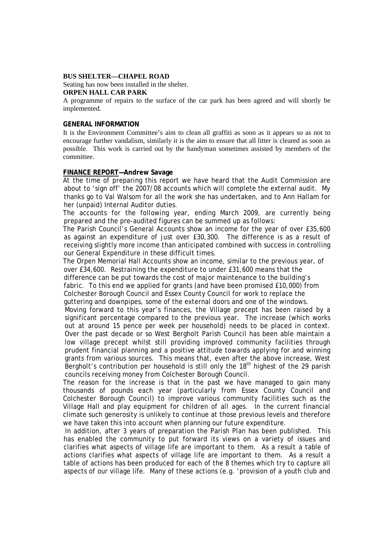#### **BUS SHELTER—CHAPEL ROAD**

Seating has now been installed in the shelter. **ORPEN HALL CAR PARK** 

A programme of repairs to the surface of the car park has been agreed and will shortly be implemented.

#### **GENERAL INFORMATION**

It is the Environment Committee's aim to clean all graffiti as soon as it appears so as not to encourage further vandalism, similarly it is the aim to ensure that all litter is cleared as soon as possible. This work is carried out by the handyman sometimes assisted by members of the committee.

#### **FINANCE REPORT—Andrew Savage**

At the time of preparing this report we have heard that the Audit Commission are about to 'sign off' the 2007/08 accounts which will complete the external audit. My thanks go to Val Walsom for all the work she has undertaken, and to Ann Hallam for her (unpaid) Internal Auditor duties.

The accounts for the following year, ending March 2009, are currently being prepared and the pre-audited figures can be summed up as follows:

The Parish Council's General Accounts show an income for the year of over £35,600 as against an expenditure of just over £30,300. The difference is as a result of receiving slightly more income than anticipated combined with success in controlling our General Expenditure in these difficult times.

The Orpen Memorial Hall Accounts show an income, similar to the previous year, of over £34,600. Restraining the expenditure to under £31,600 means that the difference can be put towards the cost of major maintenance to the building's fabric. To this end we applied for grants (and have been promised £10,000) from Colchester Borough Council and Essex County Council for work to replace the guttering and downpipes, some of the external doors and one of the windows.

Moving forward to this year's finances, the Village precept has been raised by a significant percentage compared to the previous year. The increase (which works out at around 15 pence per week per household) needs to be placed in context. Over the past decade or so West Bergholt Parish Council has been able maintain a low village precept whilst still providing improved community facilities through prudent financial planning and a positive attitude towards applying for and winning grants from various sources. This means that, even after the above increase, West Bergholt's contribution per household is still only the  $18<sup>th</sup>$  highest of the 29 parish councils receiving money from Colchester Borough Council.

The reason for the increase is that in the past we have managed to gain many thousands of pounds each year (particularly from Essex County Council and Colchester Borough Council) to improve various community facilities such as the Village Hall and play equipment for children of all ages. In the current financial climate such generosity is unlikely to continue at those previous levels and therefore we have taken this into account when planning our future expenditure.

 In addition, after 3 years of preparation the Parish Plan has been published. This has enabled the community to put forward its views on a variety of issues and clarifies what aspects of village life are important to them. As a result a table of actions clarifies what aspects of village life are important to them. As a result a table of actions has been produced for each of the 8 themes which try to capture all aspects of our village life. Many of these actions (e.g. 'provision of a youth club and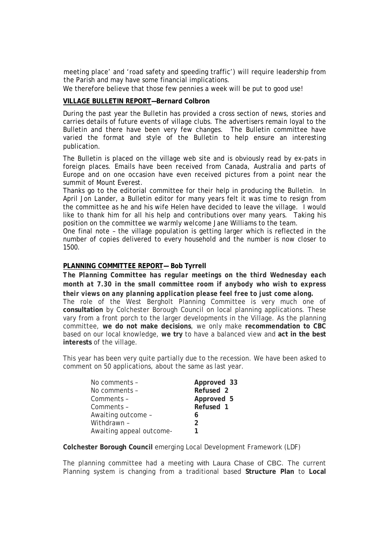meeting place' and 'road safety and speeding traffic') will require leadership from the Parish and may have some financial implications.

We therefore believe that those few pennies a week will be put to good use!

# **VILLAGE BULLETIN REPORT—Bernard Colbron**

During the past year the Bulletin has provided a cross section of news, stories and carries details of future events of village clubs. The advertisers remain loyal to the Bulletin and there have been very few changes. The Bulletin committee have varied the format and style of the Bulletin to help ensure an interesting publication.

The Bulletin is placed on the village web site and is obviously read by ex-pats in foreign places. Emails have been received from Canada, Australia and parts of Europe and on one occasion have even received pictures from a point near the summit of Mount Everest.

Thanks go to the editorial committee for their help in producing the Bulletin. In April Jon Lander, a Bulletin editor for many years felt it was time to resign from the committee as he and his wife Helen have decided to leave the village. I would like to thank him for all his help and contributions over many years. Taking his position on the committee we warmly welcome Jane Williams to the team.

One final note – the village population is getting larger which is reflected in the number of copies delivered to every household and the number is now closer to 1500.

# **PLANNING COMMITTEE REPORT— Bob Tyrrell**

*The Planning Committee has regular meetings on the third Wednesday each month at 7.30 in the small committee room if anybody who wish to express their views on any planning application please feel free to just come along.* 

The role of the West Bergholt Planning Committee is very much one of **consultation** by Colchester Borough Council on local planning applications. These vary from a front porch to the larger developments in the Village. As the planning committee, **we do not make decisions**, we only make **recommendation to CBC** based on our local knowledge, **we try** to have a balanced view and **act in the best interests** of the village.

This year has been very quite partially due to the recession. We have been asked to comment on 50 applications, about the same as last year.

| No comments -            | Approved 33   |
|--------------------------|---------------|
| No comments -            | Refused 2     |
| Comments -               | Approved 5    |
| Comments -               | Refused 1     |
| Awaiting outcome -       | 6             |
| Withdrawn -              | $\mathcal{P}$ |
| Awaiting appeal outcome- |               |

**Colchester Borough Council** emerging Local Development Framework (LDF)

The planning committee had a meeting with Laura Chase of CBC. The current Planning system is changing from a traditional based **Structure Plan** to **Local**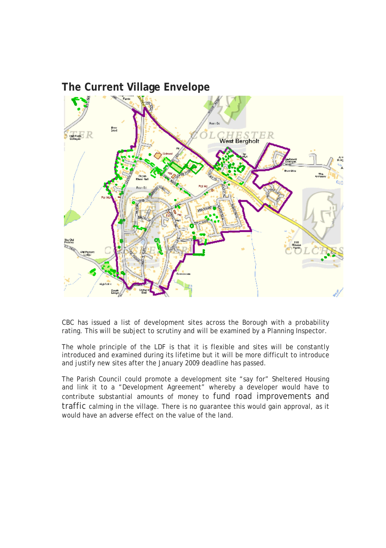# **The Current Village Envelope**



CBC has issued a list of development sites across the Borough with a probability rating. This will be subject to scrutiny and will be examined by a Planning Inspector.

The whole principle of the LDF is that it is flexible and sites will be constantly introduced and examined during its lifetime but it will be more difficult to introduce and justify new sites after the January 2009 deadline has passed.

The Parish Council could promote a development site "say for" Sheltered Housing and link it to a "Development Agreement" whereby a developer would have to contribute substantial amounts of money to fund road improvements and traffic calming in the village. There is no guarantee this would gain approval, as it would have an adverse effect on the value of the land.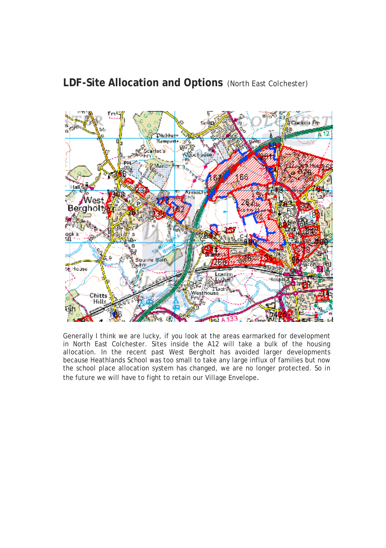# **LDF-Site Allocation and Options** (North East Colchester)



Generally I think we are lucky, if you look at the areas earmarked for development in North East Colchester. Sites inside the A12 will take a bulk of the housing allocation. In the recent past West Bergholt has avoided larger developments because Heathlands School was too small to take any large influx of families but now the school place allocation system has changed, we are no longer protected. So in the future we will have to fight to retain our Village Envelope.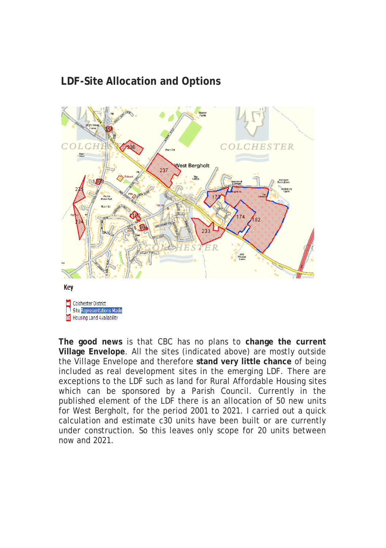# **LDF-Site Allocation and Options**



Housing Land Availability

**The good news** is that CBC has no plans to **change the current Village Envelope**. All the sites (indicated above) are mostly outside the Village Envelope and therefore **stand very little chance** of being included as real development sites in the emerging LDF. There are exceptions to the LDF such as land for Rural Affordable Housing sites which can be sponsored by a Parish Council. Currently in the published element of the LDF there is an allocation of 50 new units for West Bergholt, for the period 2001 to 2021. I carried out a quick calculation and estimate c30 units have been built or are currently under construction. So this leaves only scope for 20 units between now and 2021.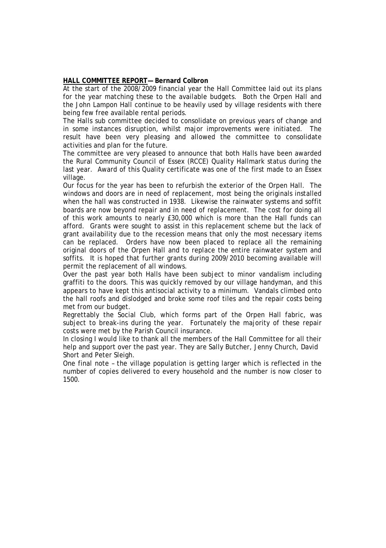# **HALL COMMITTEE REPORT— Bernard Colbron**

At the start of the 2008/2009 financial year the Hall Committee laid out its plans for the year matching these to the available budgets. Both the Orpen Hall and the John Lampon Hall continue to be heavily used by village residents with there being few free available rental periods.

The Halls sub committee decided to consolidate on previous years of change and in some instances disruption, whilst major improvements were initiated. The result have been very pleasing and allowed the committee to consolidate activities and plan for the future.

The committee are very pleased to announce that both Halls have been awarded the Rural Community Council of Essex (RCCE) Quality Hallmark status during the last year. Award of this Quality certificate was one of the first made to an Essex village.

Our focus for the year has been to refurbish the exterior of the Orpen Hall. The windows and doors are in need of replacement, most being the originals installed when the hall was constructed in 1938. Likewise the rainwater systems and soffit boards are now beyond repair and in need of replacement. The cost for doing all of this work amounts to nearly £30,000 which is more than the Hall funds can afford. Grants were sought to assist in this replacement scheme but the lack of grant availability due to the recession means that only the most necessary items can be replaced. Orders have now been placed to replace all the remaining original doors of the Orpen Hall and to replace the entire rainwater system and soffits. It is hoped that further grants during 2009/2010 becoming available will permit the replacement of all windows.

Over the past year both Halls have been subject to minor vandalism including graffiti to the doors. This was quickly removed by our village handyman, and this appears to have kept this antisocial activity to a minimum. Vandals climbed onto the hall roofs and dislodged and broke some roof tiles and the repair costs being met from our budget.

Regrettably the Social Club, which forms part of the Orpen Hall fabric, was subject to break-ins during the year. Fortunately the majority of these repair costs were met by the Parish Council insurance.

In closing I would like to thank all the members of the Hall Committee for all their help and support over the past year. They are Sally Butcher, Jenny Church, David Short and Peter Sleigh.

One final note – the village population is getting larger which is reflected in the number of copies delivered to every household and the number is now closer to 1500.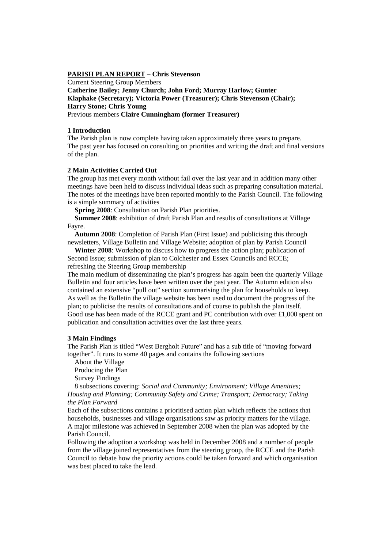#### **PARISH PLAN REPORT – Chris Stevenson**

Current Steering Group Members

**Catherine Bailey; Jenny Church; John Ford; Murray Harlow; Gunter Klaphake (Secretary); Victoria Power (Treasurer); Chris Stevenson (Chair); Harry Stone; Chris Young**  Previous members **Claire Cunningham (former Treasurer)** 

#### **1 Introduction**

The Parish plan is now complete having taken approximately three years to prepare. The past year has focused on consulting on priorities and writing the draft and final versions of the plan.

# **2 Main Activities Carried Out**

The group has met every month without fail over the last year and in addition many other meetings have been held to discuss individual ideas such as preparing consultation material. The notes of the meetings have been reported monthly to the Parish Council. The following is a simple summary of activities

**Spring 2008**: Consultation on Parish Plan priorities.

 **Summer 2008**: exhibition of draft Parish Plan and results of consultations at Village Fayre.

 **Autumn 2008**: Completion of Parish Plan (First Issue) and publicising this through newsletters, Village Bulletin and Village Website; adoption of plan by Parish Council

 **Winter 2008**: Workshop to discuss how to progress the action plan; publication of Second Issue; submission of plan to Colchester and Essex Councils and RCCE; refreshing the Steering Group membership

The main medium of disseminating the plan's progress has again been the quarterly Village Bulletin and four articles have been written over the past year. The Autumn edition also contained an extensive "pull out" section summarising the plan for households to keep. As well as the Bulletin the village website has been used to document the progress of the plan; to publicise the results of consultations and of course to publish the plan itself. Good use has been made of the RCCE grant and PC contribution with over £1,000 spent on publication and consultation activities over the last three years.

#### **3 Main Findings**

The Parish Plan is titled "West Bergholt Future" and has a sub title of "moving forward together". It runs to some 40 pages and contains the following sections

About the Village

Producing the Plan

Survey Findings

 8 subsections covering: *Social and Community; Environment; Village Amenities; Housing and Planning; Community Safety and Crime; Transport; Democracy; Taking the Plan Forward* 

Each of the subsections contains a prioritised action plan which reflects the actions that households, businesses and village organisations saw as priority matters for the village. A major milestone was achieved in September 2008 when the plan was adopted by the Parish Council.

Following the adoption a workshop was held in December 2008 and a number of people from the village joined representatives from the steering group, the RCCE and the Parish Council to debate how the priority actions could be taken forward and which organisation was best placed to take the lead.